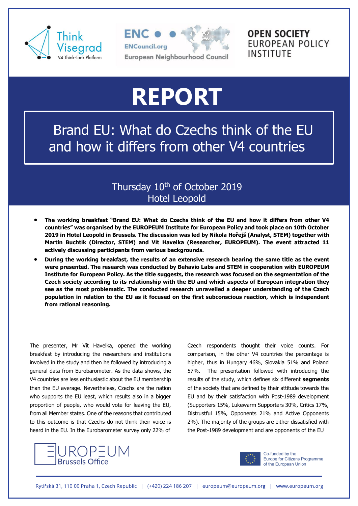



## **OPEN SOCIETY** *EUROPEAN POLICY* INSTITUTE

# **REPORT**

Brand EU: What do Czechs think of the EU and how it differs from other V4 countries

## Thursday 10<sup>th</sup> of October 2019 Hotel Leopold

- **The working breakfast "Brand EU: What do Czechs think of the EU and how it differs from other V4 countries" was organised by the EUROPEUM Institute for European Policy and took place on 10th October 2019 in Hotel Leopold in Brussels. The discussion was led by Nikola Hořejš (Analyst, STEM) together with Martin Buchtík (Director, STEM) and Vít Havelka (Researcher, EUROPEUM). The event attracted 11 actively discussing participants from various backgrounds.**
- **During the working breakfast, the results of an extensive research bearing the same title as the event were presented. The research was conducted by Behavio Labs and STEM in cooperation with EUROPEUM Institute for European Policy. As the title suggests, the research was focused on the segmentation of the Czech society according to its relationship with the EU and which aspects of European integration they see as the most problematic. The conducted research unravelled a deeper understanding of the Czech population in relation to the EU as it focused on the first subconscious reaction, which is independent from rational reasoning.**

The presenter, Mr Vít Havelka, opened the working breakfast by introducing the researchers and institutions involved in the study and then he followed by introducing a general data from Eurobarometer. As the data shows, the V4 countries are less enthusiastic about the EU membership than the EU average. Nevertheless, Czechs are the nation who supports the EU least, which results also in a bigger proportion of people, who would vote for leaving the EU, from all Member states. One of the reasons that contributed to this outcome is that Czechs do not think their voice is heard in the EU. In the Eurobarometer survey only 22% of



Czech respondents thought their voice counts. For comparison, in the other V4 countries the percentage is higher, thus in Hungary 46%, Slovakia 51% and Poland 57%. The presentation followed with introducing the results of the study, which defines six different **segments** of the society that are defined by their attitude towards the EU and by their satisfaction with Post-1989 development (Supporters 15%, Lukewarm Supporters 30%, Critics 17%, Distrustful 15%, Opponents 21% and Active Opponents 2%). The majority of the groups are either dissatisfied with the Post-1989 development and are opponents of the EU



Co-funded by the Europe for Citizens Programme of the European Union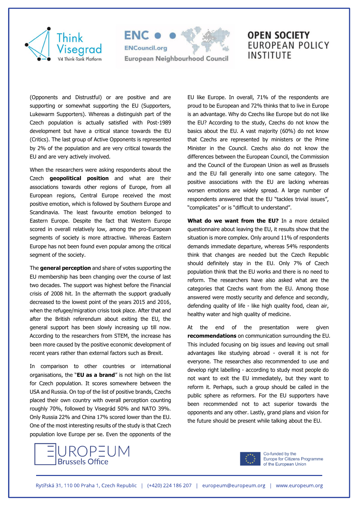



## **OPEN SOCIETY** *EUROPEAN POLICY* **INSTITUTE**

(Opponents and Distrustful) or are positive and are supporting or somewhat supporting the EU (Supporters, Lukewarm Supporters). Whereas a distinguish part of the Czech population is actually satisfied with Post-1989 development but have a critical stance towards the EU (Critics). The last group of Active Opponents is represented by 2% of the population and are very critical towards the EU and are very actively involved.

When the researchers were asking respondents about the Czech **geopolitical position** and what are their associations towards other regions of Europe, from all European regions, Central Europe received the most positive emotion, which is followed by Southern Europe and Scandinavia. The least favourite emotion belonged to Eastern Europe. Despite the fact that Western Europe scored in overall relatively low, among the pro-European segments of society is more attractive. Whereas Eastern Europe has not been found even popular among the critical segment of the society.

The **general perception** and share of votes supporting the EU membership has been changing over the course of last two decades. The support was highest before the Financial crisis of 2008 hit. In the aftermath the support gradually decreased to the lowest point of the years 2015 and 2016, when the refugee/migration crisis took place. After that and after the British referendum about exiting the EU, the general support has been slowly increasing up till now. According to the researchers from STEM, the increase has been more caused by the positive economic development of recent years rather than external factors such as Brexit.

In comparison to other countries or international organisations, the "**EU as a brand**" is not high on the list for Czech population. It scores somewhere between the USA and Russia. On top of the list of positive brands, Czechs placed their own country with overall perception counting roughly 70%, followed by Visegrád 50% and NATO 39%. Only Russia 22% and China 17% scored lower than the EU. One of the most interesting results of the study is that Czech population love Europe per se. Even the opponents of the



EU like Europe. In overall, 71% of the respondents are proud to be European and 72% thinks that to live in Europe is an advantage. Why do Czechs like Europe but do not like the EU? According to the study, Czechs do not know the basics about the EU. A vast majority (60%) do not know that Czechs are represented by ministers or the Prime Minister in the Council. Czechs also do not know the differences between the European Council, the Commission and the Council of the European Union as well as Brussels and the EU fall generally into one same category. The positive associations with the EU are lacking whereas worsen emotions are widely spread. A large number of respondents answered that the EU "tackles trivial issues", "complicates" or is "difficult to understand".

**What do we want from the EU?** In a more detailed questionnaire about leaving the EU, it results show that the situation is more complex. Only around 11% of respondents demands immediate departure, whereas 54% respondents think that changes are needed but the Czech Republic should definitely stay in the EU. Only 7% of Czech population think that the EU works and there is no need to reform. The researchers have also asked what are the categories that Czechs want from the EU. Among those answered were mostly security and defence and secondly, defending quality of life - like high quality food, clean air, healthy water and high quality of medicine.

At the end of the presentation were given **recommendations** on communication surrounding the EU. This included focusing on big issues and leaving out small advantages like studying abroad - overall it is not for everyone. The researches also recommended to use and develop right labelling - according to study most people do not want to exit the EU immediately, but they want to reform it. Perhaps, such a group should be called in the public sphere as reformers. For the EU supporters have been recommended not to act superior towards the opponents and any other. Lastly, grand plans and vision for the future should be present while talking about the EU.



Co-funded by the Europe for Citizens Programme of the European Union